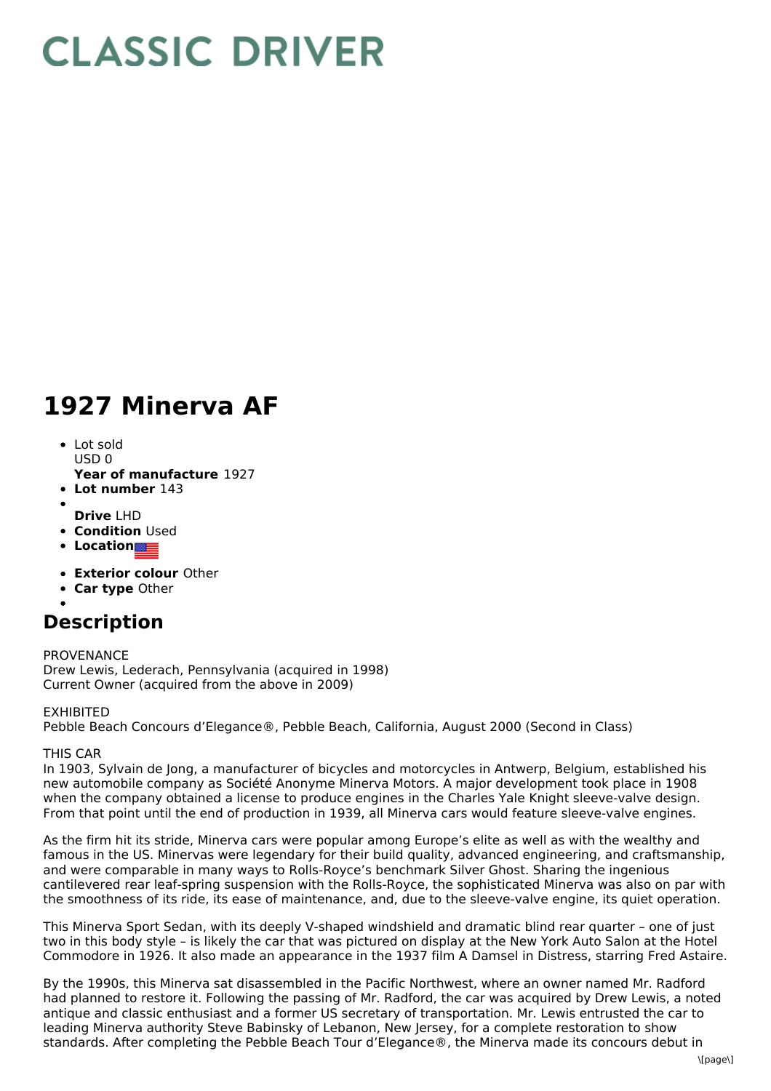# **CLASSIC DRIVER**

# **1927 Minerva AF**

- Lot sold  $USD0$
- **Year of manufacture** 1927
- **Lot number** 143
- **Drive** LHD
- **Condition Used**
- **Location**
- **Exterior colour** Other
- **Car type** Other
- 

## **Description**

PROVENANCE Drew Lewis, Lederach, Pennsylvania (acquired in 1998) Current Owner (acquired from the above in 2009)

#### EXHIBITED

Pebble Beach Concours d'Elegance®, Pebble Beach, California, August 2000 (Second in Class)

### THIS CAR

In 1903, Sylvain de Jong, a manufacturer of bicycles and motorcycles in Antwerp, Belgium, established his new automobile company as Société Anonyme Minerva Motors. A major development took place in 1908 when the company obtained a license to produce engines in the Charles Yale Knight sleeve-valve design. From that point until the end of production in 1939, all Minerva cars would feature sleeve-valve engines.

As the firm hit its stride, Minerva cars were popular among Europe's elite as well as with the wealthy and famous in the US. Minervas were legendary for their build quality, advanced engineering, and craftsmanship, and were comparable in many ways to Rolls-Royce's benchmark Silver Ghost. Sharing the ingenious cantilevered rear leaf-spring suspension with the Rolls-Royce, the sophisticated Minerva was also on par with the smoothness of its ride, its ease of maintenance, and, due to the sleeve-valve engine, its quiet operation.

This Minerva Sport Sedan, with its deeply V-shaped windshield and dramatic blind rear quarter – one of just two in this body style – is likely the car that was pictured on display at the New York Auto Salon at the Hotel Commodore in 1926. It also made an appearance in the 1937 film A Damsel in Distress, starring Fred Astaire.

By the 1990s, this Minerva sat disassembled in the Pacific Northwest, where an owner named Mr. Radford had planned to restore it. Following the passing of Mr. Radford, the car was acquired by Drew Lewis, a noted antique and classic enthusiast and a former US secretary of transportation. Mr. Lewis entrusted the car to leading Minerva authority Steve Babinsky of Lebanon, New Jersey, for a complete restoration to show standards. After completing the Pebble Beach Tour d'Elegance®, the Minerva made its concours debut in